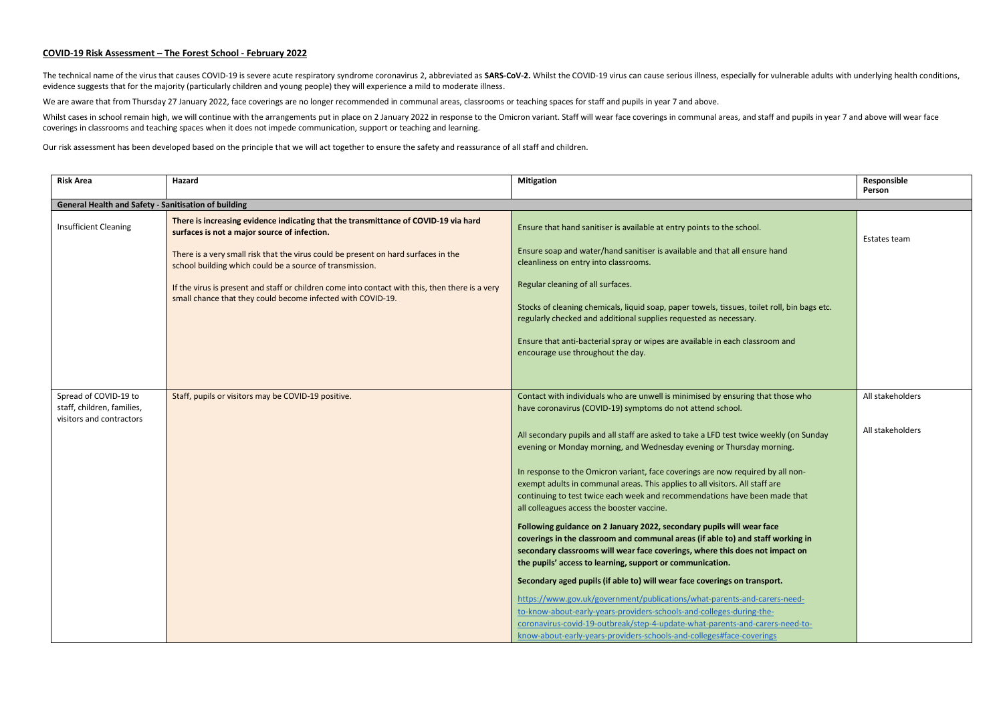## **COVID-19 Risk Assessment – The Forest School - February 2022**

The technical name of the virus that causes COVID-19 is severe acute respiratory syndrome coronavirus 2, abbreviated as SARS-COV-2. Whilst the COVID-19 virus can cause serious illness, especially for vulnerable adults with evidence suggests that for the majority (particularly children and young people) they will experience a mild to moderate illness.

We are aware that from Thursday 27 January 2022, face coverings are no longer recommended in communal areas, classrooms or teaching spaces for staff and pupils in year 7 and above.

Whilst cases in school remain high, we will continue with the arrangements put in place on 2 January 2022 in response to the Omicron variant. Staff will wear face coverings in communal areas, and staff and pupils in year 7 coverings in classrooms and teaching spaces when it does not impede communication, support or teaching and learning.

Our risk assessment has been developed based on the principle that we will act together to ensure the safety and reassurance of all staff and children.

| <b>Risk Area</b>                                     | Hazard                                                                                                                                                                                                                                                                                                                                                                                                                                                  | <b>Mitigation</b>                                                                                                                                                                                                                                                                                                                                                                                                                                                                                                                                                                                                                                                                              | Responsible<br>Person |  |  |  |
|------------------------------------------------------|---------------------------------------------------------------------------------------------------------------------------------------------------------------------------------------------------------------------------------------------------------------------------------------------------------------------------------------------------------------------------------------------------------------------------------------------------------|------------------------------------------------------------------------------------------------------------------------------------------------------------------------------------------------------------------------------------------------------------------------------------------------------------------------------------------------------------------------------------------------------------------------------------------------------------------------------------------------------------------------------------------------------------------------------------------------------------------------------------------------------------------------------------------------|-----------------------|--|--|--|
| General Health and Safety - Sanitisation of building |                                                                                                                                                                                                                                                                                                                                                                                                                                                         |                                                                                                                                                                                                                                                                                                                                                                                                                                                                                                                                                                                                                                                                                                |                       |  |  |  |
| <b>Insufficient Cleaning</b>                         | There is increasing evidence indicating that the transmittance of COVID-19 via hard<br>surfaces is not a major source of infection.<br>There is a very small risk that the virus could be present on hard surfaces in the<br>school building which could be a source of transmission.<br>If the virus is present and staff or children come into contact with this, then there is a very<br>small chance that they could become infected with COVID-19. | Ensure that hand sanitiser is available at entry points to the school.<br>Ensure soap and water/hand sanitiser is available and that all ensure hand<br>cleanliness on entry into classrooms.<br>Regular cleaning of all surfaces.<br>Stocks of cleaning chemicals, liquid soap, paper towels, tissues, toilet roll, bin bags etc.<br>regularly checked and additional supplies requested as necessary.<br>Ensure that anti-bacterial spray or wipes are available in each classroom and<br>encourage use throughout the day.                                                                                                                                                                  | Estates team          |  |  |  |
| Spread of COVID-19 to<br>staff, children, families,  | Staff, pupils or visitors may be COVID-19 positive.                                                                                                                                                                                                                                                                                                                                                                                                     | Contact with individuals who are unwell is minimised by ensuring that those who<br>have coronavirus (COVID-19) symptoms do not attend school.                                                                                                                                                                                                                                                                                                                                                                                                                                                                                                                                                  | All stakeholders      |  |  |  |
| visitors and contractors                             |                                                                                                                                                                                                                                                                                                                                                                                                                                                         | All secondary pupils and all staff are asked to take a LFD test twice weekly (on Sunday<br>evening or Monday morning, and Wednesday evening or Thursday morning.<br>In response to the Omicron variant, face coverings are now required by all non-<br>exempt adults in communal areas. This applies to all visitors. All staff are<br>continuing to test twice each week and recommendations have been made that<br>all colleagues access the booster vaccine.                                                                                                                                                                                                                                | All stakeholders      |  |  |  |
|                                                      |                                                                                                                                                                                                                                                                                                                                                                                                                                                         | Following guidance on 2 January 2022, secondary pupils will wear face<br>coverings in the classroom and communal areas (if able to) and staff working in<br>secondary classrooms will wear face coverings, where this does not impact on<br>the pupils' access to learning, support or communication.<br>Secondary aged pupils (if able to) will wear face coverings on transport.<br>https://www.gov.uk/government/publications/what-parents-and-carers-need-<br>to-know-about-early-years-providers-schools-and-colleges-during-the-<br>coronavirus-covid-19-outbreak/step-4-update-what-parents-and-carers-need-to-<br>know-about-early-years-providers-schools-and-colleges#face-coverings |                       |  |  |  |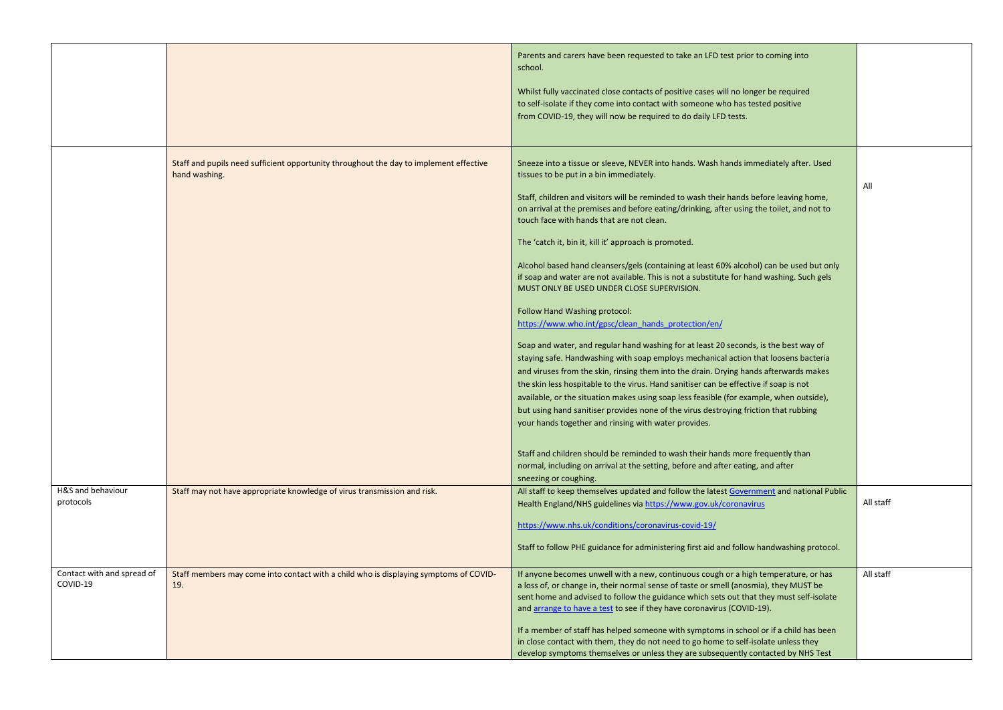|                                        |                                                                                                         | Parents and carers have been requested to take an LFD test prior to coming into<br>school.<br>Whilst fully vaccinated close contacts of positive cases will no longer be required<br>to self-isolate if they come into contact with someone who has tested positive       |           |
|----------------------------------------|---------------------------------------------------------------------------------------------------------|---------------------------------------------------------------------------------------------------------------------------------------------------------------------------------------------------------------------------------------------------------------------------|-----------|
|                                        |                                                                                                         | from COVID-19, they will now be required to do daily LFD tests.                                                                                                                                                                                                           |           |
|                                        | Staff and pupils need sufficient opportunity throughout the day to implement effective<br>hand washing. | Sneeze into a tissue or sleeve, NEVER into hands. Wash hands immediately after. Used<br>tissues to be put in a bin immediately.                                                                                                                                           | All       |
|                                        |                                                                                                         | Staff, children and visitors will be reminded to wash their hands before leaving home,<br>on arrival at the premises and before eating/drinking, after using the toilet, and not to<br>touch face with hands that are not clean.                                          |           |
|                                        |                                                                                                         | The 'catch it, bin it, kill it' approach is promoted.                                                                                                                                                                                                                     |           |
|                                        |                                                                                                         | Alcohol based hand cleansers/gels (containing at least 60% alcohol) can be used but only<br>if soap and water are not available. This is not a substitute for hand washing. Such gels<br>MUST ONLY BE USED UNDER CLOSE SUPERVISION.                                       |           |
|                                        |                                                                                                         | Follow Hand Washing protocol:<br>https://www.who.int/gpsc/clean_hands_protection/en/                                                                                                                                                                                      |           |
|                                        |                                                                                                         | Soap and water, and regular hand washing for at least 20 seconds, is the best way of<br>staying safe. Handwashing with soap employs mechanical action that loosens bacteria                                                                                               |           |
|                                        |                                                                                                         | and viruses from the skin, rinsing them into the drain. Drying hands afterwards makes<br>the skin less hospitable to the virus. Hand sanitiser can be effective if soap is not<br>available, or the situation makes using soap less feasible (for example, when outside), |           |
|                                        |                                                                                                         | but using hand sanitiser provides none of the virus destroying friction that rubbing<br>your hands together and rinsing with water provides.                                                                                                                              |           |
|                                        |                                                                                                         | Staff and children should be reminded to wash their hands more frequently than<br>normal, including on arrival at the setting, before and after eating, and after<br>sneezing or coughing.                                                                                |           |
| H&S and behaviour<br>protocols         | Staff may not have appropriate knowledge of virus transmission and risk.                                | All staff to keep themselves updated and follow the latest Government and national Public<br>Health England/NHS guidelines via https://www.gov.uk/coronavirus                                                                                                             | All staff |
|                                        |                                                                                                         | https://www.nhs.uk/conditions/coronavirus-covid-19/                                                                                                                                                                                                                       |           |
|                                        |                                                                                                         |                                                                                                                                                                                                                                                                           |           |
|                                        |                                                                                                         | Staff to follow PHE guidance for administering first aid and follow handwashing protocol.                                                                                                                                                                                 |           |
| Contact with and spread of<br>COVID-19 | Staff members may come into contact with a child who is displaying symptoms of COVID-<br>19.            | If anyone becomes unwell with a new, continuous cough or a high temperature, or has<br>a loss of, or change in, their normal sense of taste or smell (anosmia), they MUST be                                                                                              | All staff |
|                                        |                                                                                                         | sent home and advised to follow the guidance which sets out that they must self-isolate<br>and arrange to have a test to see if they have coronavirus (COVID-19).                                                                                                         |           |
|                                        |                                                                                                         | If a member of staff has helped someone with symptoms in school or if a child has been<br>in close contact with them, they do not need to go home to self-isolate unless they                                                                                             |           |
|                                        |                                                                                                         | develop symptoms themselves or unless they are subsequently contacted by NHS Test                                                                                                                                                                                         |           |